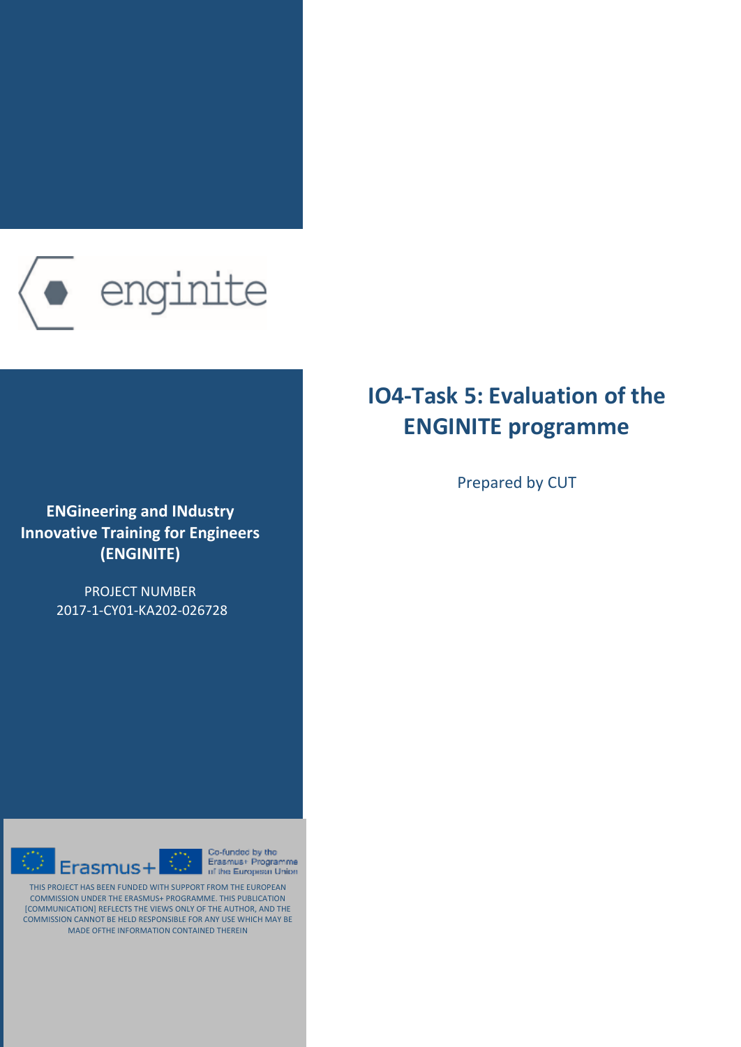

**ENGineering and IΝdustry Innovative Training for Engineers (ENGINITE)**

> PROJECT NUMBER 2017-1-CY01-KA202-026728



Co-funded by the  $\overline{\mathbb{C}}$ Erasmus+ Programme of the European Union

THIS PROJECT HAS BEEN FUNDED WITH SUPPORT FROM THE EUROPEAN COMMISSION UNDER THE ERASMUS+ PROGRAMME. THIS PUBLICATION [COMMUNICATION] REFLECTS THE VIEWS ONLY OF THE AUTHOR, AND THE COMMISSION CANNOT BE HELD RESPONSIBLE FOR ANY USE WHICH MAY BE MADE OFTHE INFORMATION CONTAINED THEREIN

# **IO4-Task 5: Evaluation of the ENGINITE programme**

Prepared by CUT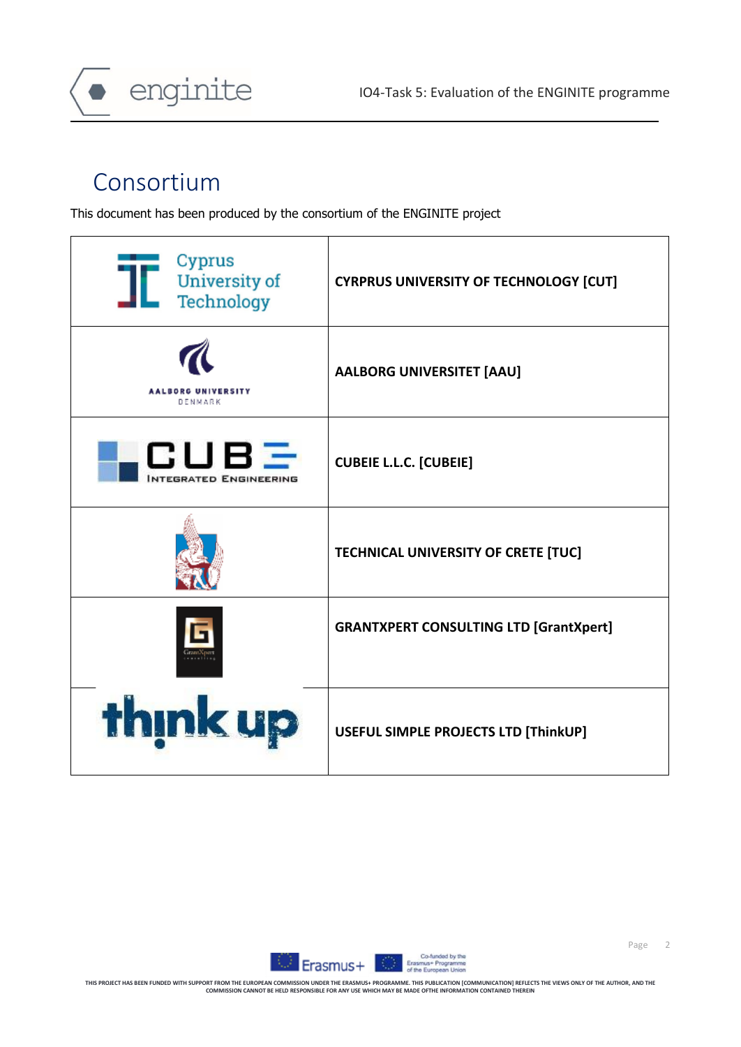

# Consortium

enginite

This document has been produced by the consortium of the ENGINITE project





Page 2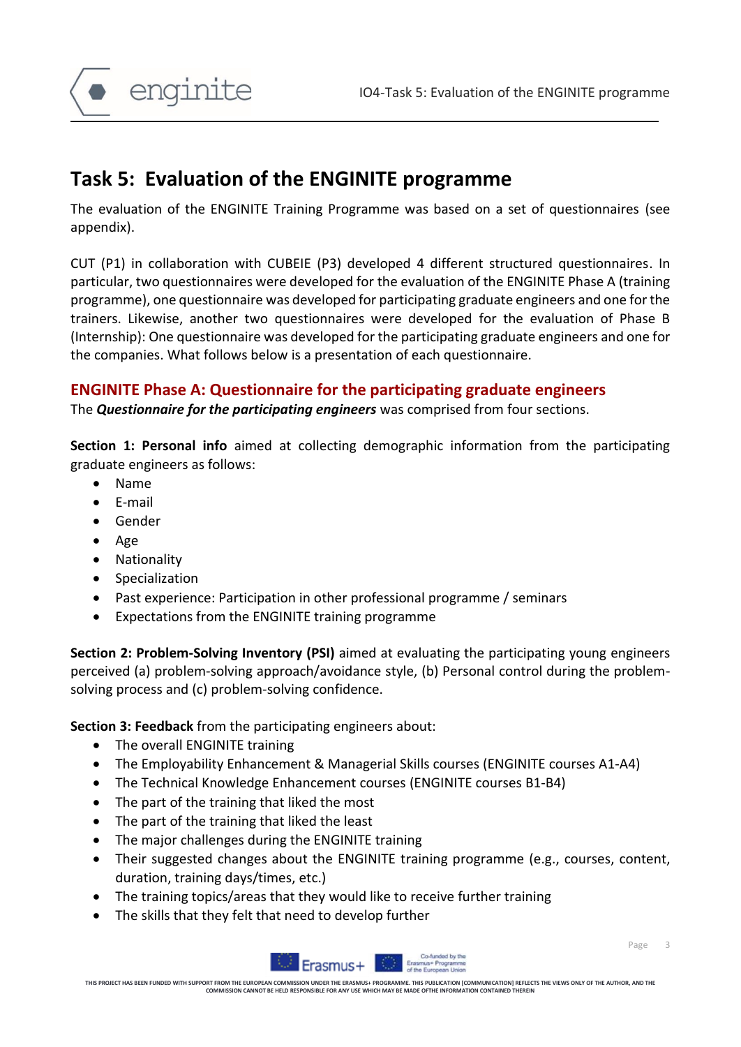

## **Task 5: Evaluation of the ENGINITE programme**

The evaluation of the ENGINITE Training Programme was based on a set of questionnaires (see appendix).

CUT (P1) in collaboration with CUBEIE (P3) developed 4 different structured questionnaires. In particular, two questionnaires were developed for the evaluation of the ENGINITE Phase A (training programme), one questionnaire was developed for participating graduate engineers and one for the trainers. Likewise, another two questionnaires were developed for the evaluation of Phase B (Internship): One questionnaire was developed for the participating graduate engineers and one for the companies. What follows below is a presentation of each questionnaire.

#### **ENGINITE Phase A: Questionnaire for the participating graduate engineers**

The *Questionnaire for the participating engineers* was comprised from four sections.

**Section 1: Personal info** aimed at collecting demographic information from the participating graduate engineers as follows:

- Name
- E-mail
- Gender
- Age
- Nationality
- Specialization
- Past experience: Participation in other professional programme / seminars
- Expectations from the ENGINITE training programme

**Section 2: Problem-Solving Inventory (PSI)** aimed at evaluating the participating young engineers perceived (a) problem-solving approach/avoidance style, (b) Personal control during the problemsolving process and (c) problem-solving confidence.

**Section 3: Feedback** from the participating engineers about:

- The overall ENGINITE training
- The Employability Enhancement & Managerial Skills courses (ENGINITE courses A1-A4)
- The Technical Knowledge Enhancement courses (ENGINITE courses B1-B4)
- The part of the training that liked the most
- The part of the training that liked the least
- The major challenges during the ENGINITE training
- Their suggested changes about the ENGINITE training programme (e.g., courses, content, duration, training days/times, etc.)
- The training topics/areas that they would like to receive further training
- The skills that they felt that need to develop further



Page 3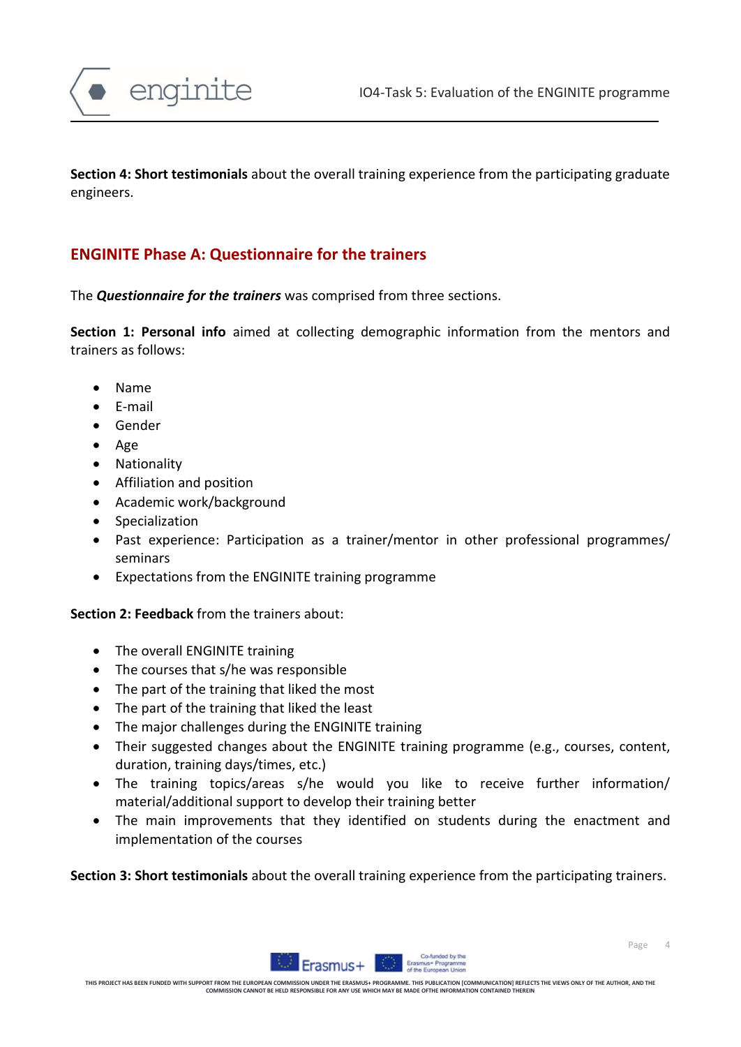

**Section 4: Short testimonials** about the overall training experience from the participating graduate engineers.

### **ENGINITE Phase A: Questionnaire for the trainers**

The *Questionnaire for the trainers* was comprised from three sections.

**Section 1: Personal info** aimed at collecting demographic information from the mentors and trainers as follows:

- Name
- E-mail
- Gender
- Age
- Nationality
- Affiliation and position
- Academic work/background
- Specialization
- Past experience: Participation as a trainer/mentor in other professional programmes/ seminars
- Expectations from the ENGINITE training programme

#### **Section 2: Feedback** from the trainers about:

- The overall ENGINITE training
- The courses that s/he was responsible
- The part of the training that liked the most
- The part of the training that liked the least
- The major challenges during the ENGINITE training
- Their suggested changes about the ENGINITE training programme (e.g., courses, content, duration, training days/times, etc.)
- The training topics/areas s/he would you like to receive further information/ material/additional support to develop their training better
- The main improvements that they identified on students during the enactment and implementation of the courses

**Section 3: Short testimonials** about the overall training experience from the participating trainers.

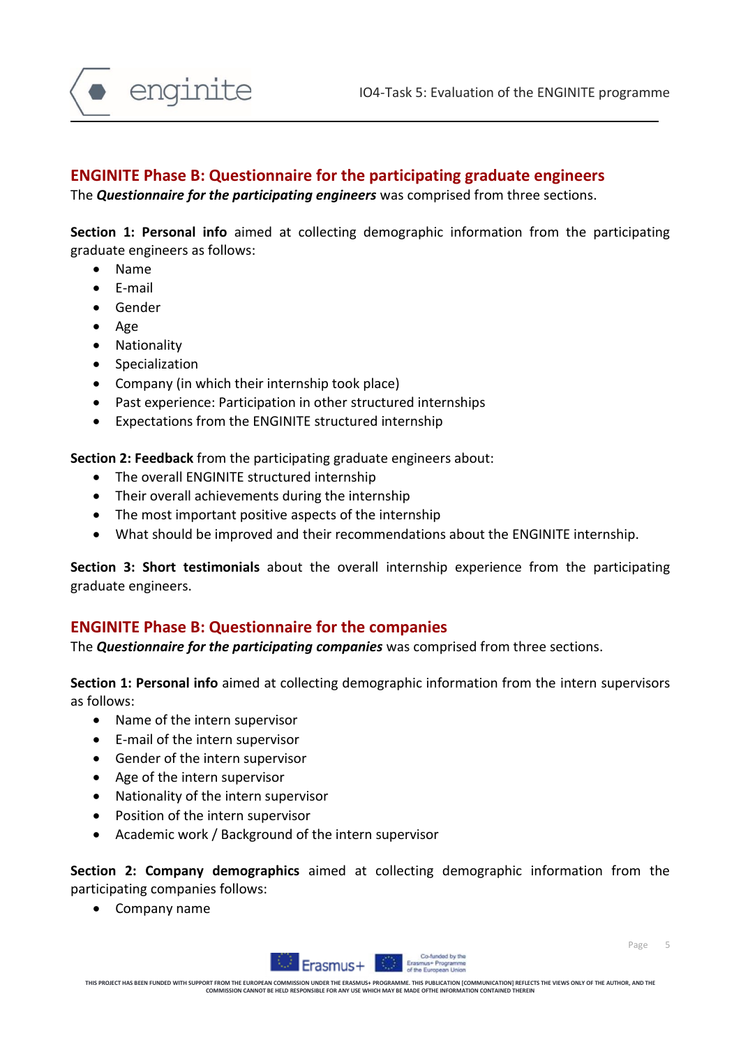

#### **ENGINITE Phase B: Questionnaire for the participating graduate engineers**

The *Questionnaire for the participating engineers* was comprised from three sections.

**Section 1: Personal info** aimed at collecting demographic information from the participating graduate engineers as follows:

- Name
- E-mail
- Gender
- Age
- Nationality
- Specialization
- Company (in which their internship took place)
- Past experience: Participation in other structured internships
- Expectations from the ENGINITE structured internship

**Section 2: Feedback** from the participating graduate engineers about:

- The overall ENGINITE structured internship
- Their overall achievements during the internship
- The most important positive aspects of the internship
- What should be improved and their recommendations about the ENGINITE internship.

**Section 3: Short testimonials** about the overall internship experience from the participating graduate engineers.

#### **ENGINITE Phase B: Questionnaire for the companies**

The *Questionnaire for the participating companies* was comprised from three sections.

**Section 1: Personal info** aimed at collecting demographic information from the intern supervisors as follows:

- Name of the intern supervisor
- E-mail of the intern supervisor
- Gender of the intern supervisor
- Age of the intern supervisor
- Nationality of the intern supervisor
- Position of the intern supervisor
- Academic work / Background of the intern supervisor

**Section 2: Company demographics** aimed at collecting demographic information from the participating companies follows:

• Company name

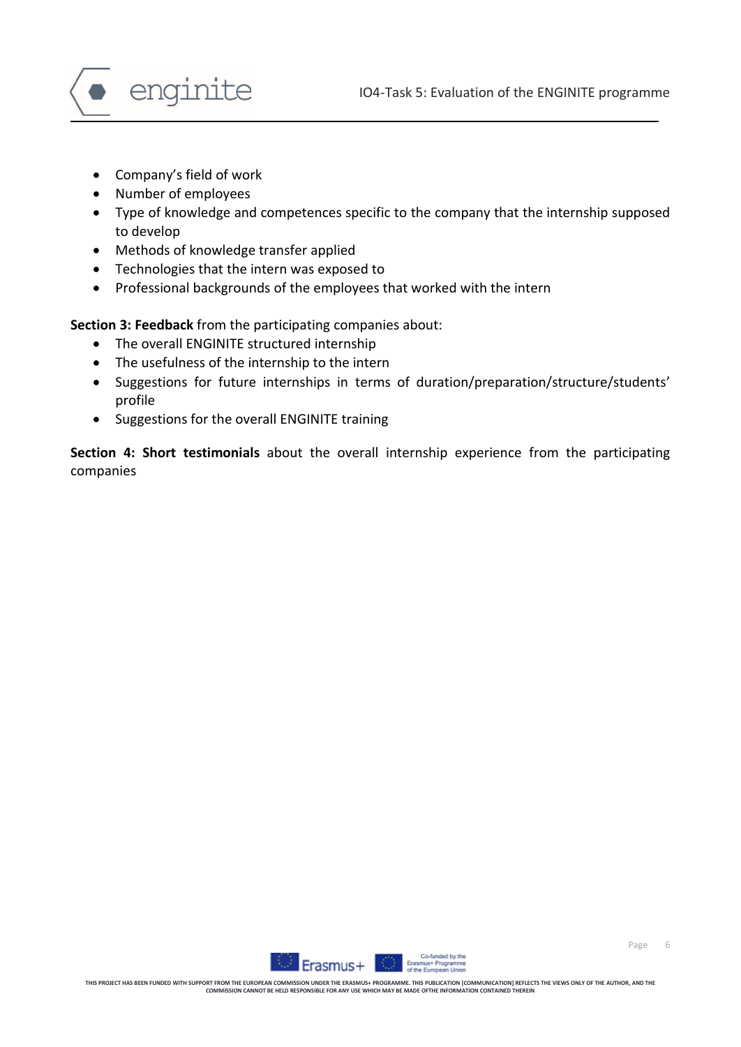



- Company's field of work
- Number of employees
- Type of knowledge and competences specific to the company that the internship supposed to develop
- Methods of knowledge transfer applied
- Technologies that the intern was exposed to
- Professional backgrounds of the employees that worked with the intern

**Section 3: Feedback** from the participating companies about:

- The overall ENGINITE structured internship
- The usefulness of the internship to the intern
- Suggestions for future internships in terms of duration/preparation/structure/students' profile
- Suggestions for the overall ENGINITE training

**Section 4: Short testimonials** about the overall internship experience from the participating companies

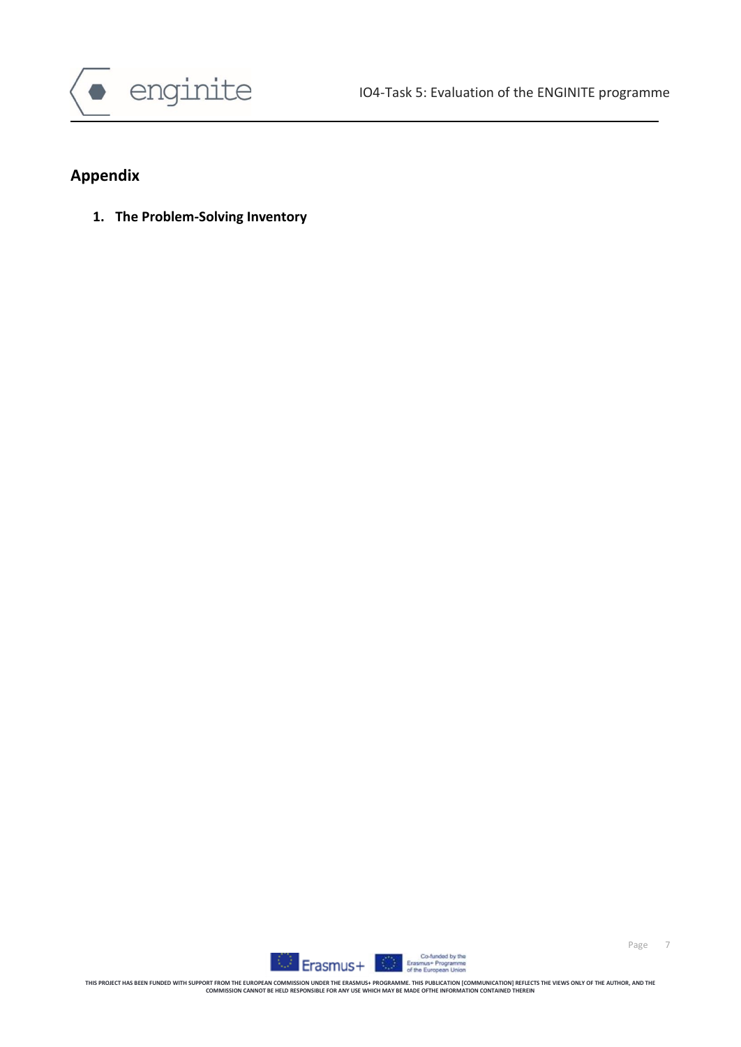

## **Appendix**

**1. The Problem-Solving Inventory**

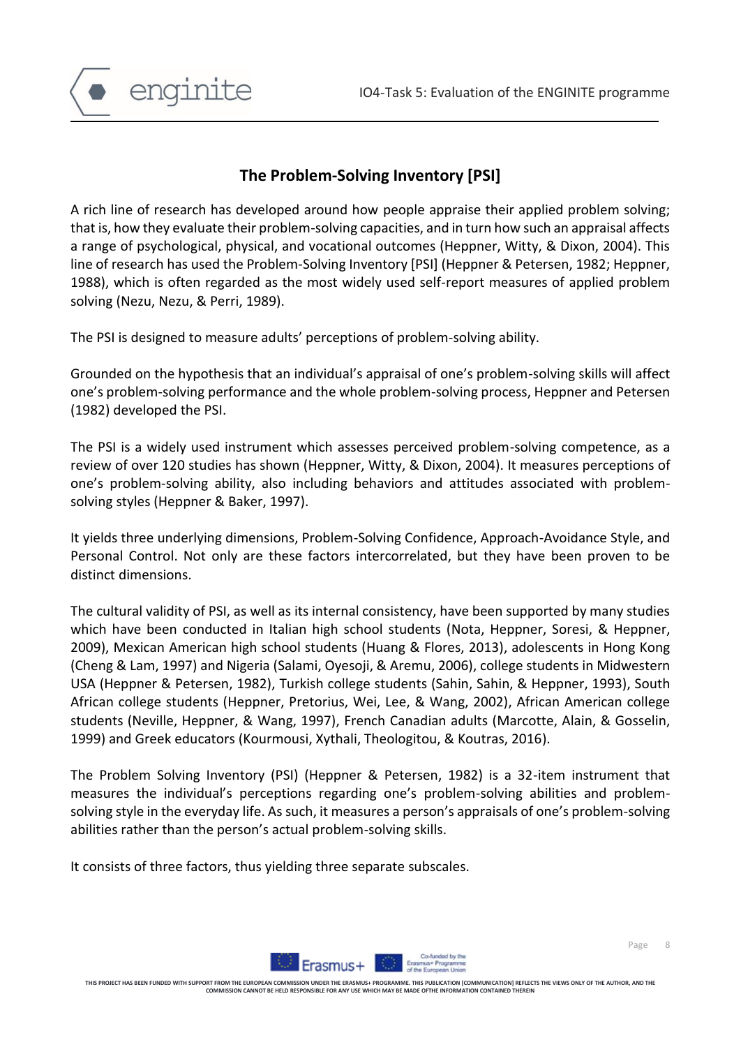

### **The Problem-Solving Inventory [PSI]**

A rich line of research has developed around how people appraise their applied problem solving; that is, how they evaluate their problem-solving capacities, and in turn how such an appraisal affects a range of psychological, physical, and vocational outcomes (Heppner, Witty, & Dixon, 2004). This line of research has used the Problem-Solving Inventory [PSI] (Heppner & Petersen, 1982; Heppner, 1988), which is often regarded as the most widely used self-report measures of applied problem solving (Nezu, Nezu, & Perri, 1989).

The PSI is designed to measure adults' perceptions of problem-solving ability.

Grounded on the hypothesis that an individual's appraisal of one's problem-solving skills will affect one's problem-solving performance and the whole problem-solving process, Heppner and Petersen (1982) developed the PSI.

The PSI is a widely used instrument which assesses perceived problem-solving competence, as a review of over 120 studies has shown (Heppner, Witty, & Dixon, 2004). It measures perceptions of one's problem-solving ability, also including behaviors and attitudes associated with problemsolving styles (Heppner & Baker, 1997).

It yields three underlying dimensions, Problem-Solving Confidence, Approach-Avoidance Style, and Personal Control. Not only are these factors intercorrelated, but they have been proven to be distinct dimensions.

The cultural validity of PSI, as well as its internal consistency, have been supported by many studies which have been conducted in Italian high school students (Nota, Heppner, Soresi, & Heppner, 2009), Mexican American high school students (Huang & Flores, 2013), adolescents in Hong Kong (Cheng & Lam, 1997) and Nigeria (Salami, Oyesoji, & Aremu, 2006), college students in Midwestern USA (Heppner & Petersen, 1982), Turkish college students (Sahin, Sahin, & Heppner, 1993), South African college students (Heppner, Pretorius, Wei, Lee, & Wang, 2002), African American college students (Neville, Heppner, & Wang, 1997), French Canadian adults (Marcotte, Alain, & Gosselin, 1999) and Greek educators (Kourmousi, Xythali, Theologitou, & Koutras, 2016).

The Problem Solving Inventory (PSI) (Heppner & Petersen, 1982) is a 32-item instrument that measures the individual's perceptions regarding one's problem-solving abilities and problemsolving style in the everyday life. As such, it measures a person's appraisals of one's problem-solving abilities rather than the person's actual problem-solving skills.

It consists of three factors, thus yielding three separate subscales.



Page 8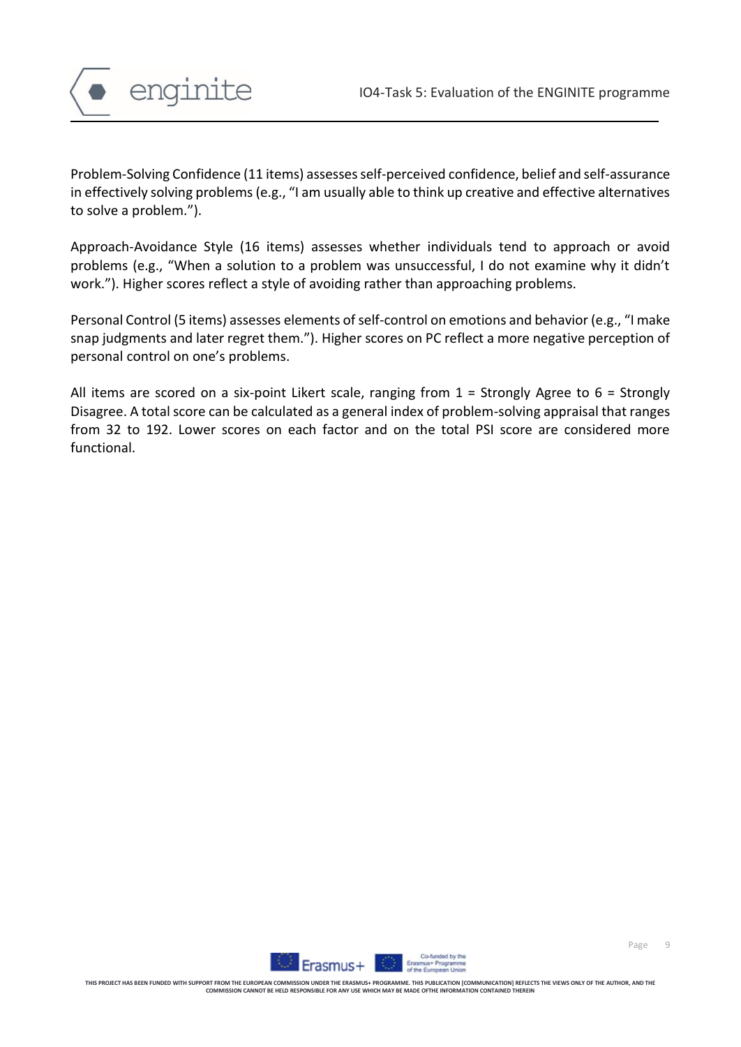

Problem-Solving Confidence (11 items) assesses self-perceived confidence, belief and self-assurance in effectively solving problems (e.g., "I am usually able to think up creative and effective alternatives to solve a problem.").

Approach-Avoidance Style (16 items) assesses whether individuals tend to approach or avoid problems (e.g., "When a solution to a problem was unsuccessful, I do not examine why it didn't work."). Higher scores reflect a style of avoiding rather than approaching problems.

Personal Control (5 items) assesses elements of self-control on emotions and behavior (e.g., "I make snap judgments and later regret them."). Higher scores on PC reflect a more negative perception of personal control on one's problems.

All items are scored on a six-point Likert scale, ranging from  $1 =$  Strongly Agree to  $6 =$  Strongly Disagree. A total score can be calculated as a general index of problem-solving appraisal that ranges from 32 to 192. Lower scores on each factor and on the total PSI score are considered more functional.

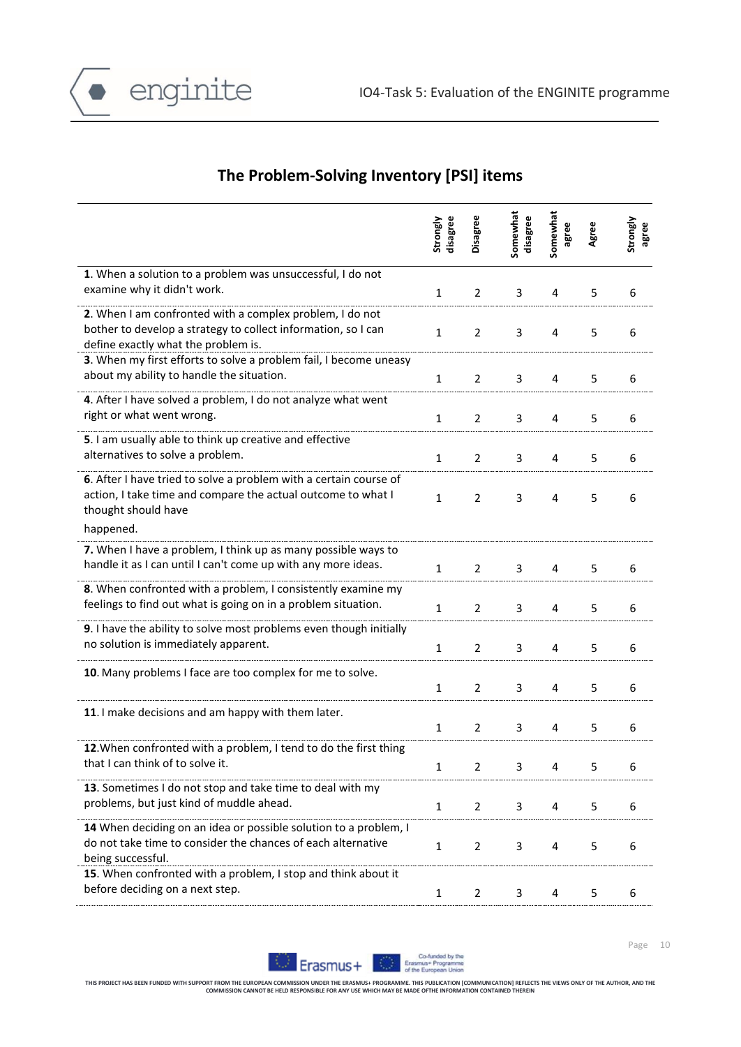

### **The Problem-Solving Inventory [PSI] items**

|                                                                                                                                                                       | disagree<br>Strongly | Disagree       | Somewhat<br>disagree | Somewhat<br>agree | Agree | Strongly<br>agree |
|-----------------------------------------------------------------------------------------------------------------------------------------------------------------------|----------------------|----------------|----------------------|-------------------|-------|-------------------|
| 1. When a solution to a problem was unsuccessful, I do not<br>examine why it didn't work.                                                                             | $\mathbf{1}$         | 2              | 3                    | 4                 | 5     | 6                 |
| 2. When I am confronted with a complex problem, I do not<br>bother to develop a strategy to collect information, so I can<br>define exactly what the problem is.      | $\mathbf{1}$         | $\overline{2}$ | 3                    | 4                 | 5     | 6                 |
| 3. When my first efforts to solve a problem fail, I become uneasy<br>about my ability to handle the situation.                                                        | $\mathbf{1}$         | $\overline{2}$ | 3                    | 4                 | 5     | 6                 |
| 4. After I have solved a problem, I do not analyze what went<br>right or what went wrong.                                                                             | 1                    | 2              | 3                    | 4                 | 5     | 6                 |
| 5. I am usually able to think up creative and effective<br>alternatives to solve a problem.                                                                           | 1                    | 2              | 3                    | 4                 | 5     | 6                 |
| 6. After I have tried to solve a problem with a certain course of<br>action, I take time and compare the actual outcome to what I<br>thought should have<br>happened. | $\mathbf{1}$         | $\overline{2}$ | 3                    | 4                 | 5     | 6                 |
| 7. When I have a problem, I think up as many possible ways to<br>handle it as I can until I can't come up with any more ideas.                                        | $\mathbf{1}$         | 2              | 3                    | 4                 | 5     | 6                 |
| 8. When confronted with a problem, I consistently examine my<br>feelings to find out what is going on in a problem situation.                                         | $\mathbf{1}$         | $\overline{2}$ | 3                    | 4                 | 5     | 6                 |
| 9. I have the ability to solve most problems even though initially<br>no solution is immediately apparent.                                                            | $\mathbf{1}$         | $\overline{2}$ | 3                    | 4                 | 5     | 6                 |
| 10. Many problems I face are too complex for me to solve.                                                                                                             | 1                    | 2              | 3                    | 4                 | 5     | 6                 |
| 11. I make decisions and am happy with them later.                                                                                                                    | $\mathbf{1}$         | $\overline{2}$ | 3                    | 4                 | 5     | 6                 |
| 12. When confronted with a problem, I tend to do the first thing<br>that I can think of to solve it.                                                                  |                      | $\overline{2}$ | 3                    |                   |       |                   |
| 13. Sometimes I do not stop and take time to deal with my<br>problems, but just kind of muddle ahead.                                                                 | $\mathbf{1}$         | $\overline{2}$ | 3                    | 4                 | 5     | 6                 |
| 14 When deciding on an idea or possible solution to a problem, I<br>do not take time to consider the chances of each alternative<br>being successful.                 | $\mathbf{1}$         | $\overline{2}$ | 3                    | 4                 | 5     | 6                 |
| 15. When confronted with a problem, I stop and think about it<br>before deciding on a next step.                                                                      | $\mathbf{1}$         | $\overline{2}$ | 3                    | 4                 | 5     | 6                 |

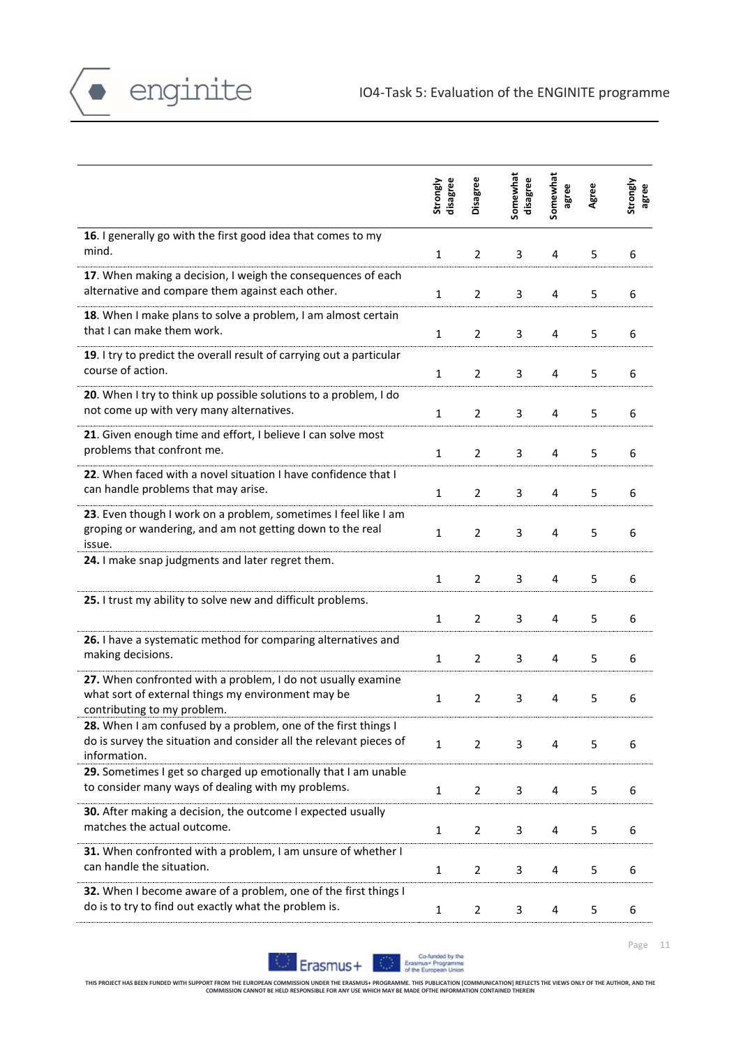

|                                                                                                                                                      | disagree<br>Strongly | Disagree       | Somewhat<br>disagree | Somewhat<br>agree | Agree | Strongly<br>agree |
|------------------------------------------------------------------------------------------------------------------------------------------------------|----------------------|----------------|----------------------|-------------------|-------|-------------------|
| 16. I generally go with the first good idea that comes to my<br>mind.                                                                                | $\mathbf{1}$         | $\overline{2}$ | 3                    | 4                 | 5     | 6                 |
| 17. When making a decision, I weigh the consequences of each<br>alternative and compare them against each other.                                     | $\mathbf{1}$         | $\overline{2}$ | 3                    | 4                 | 5     | 6                 |
| 18. When I make plans to solve a problem, I am almost certain<br>that I can make them work.                                                          | $\mathbf{1}$         | 2              | 3                    | 4                 | 5     | 6                 |
| 19. I try to predict the overall result of carrying out a particular<br>course of action.                                                            | $\mathbf{1}$         | $\overline{2}$ | 3                    | 4                 | 5     | 6                 |
| 20. When I try to think up possible solutions to a problem, I do<br>not come up with very many alternatives.                                         | $\mathbf{1}$         | $\overline{2}$ | 3                    | 4                 | 5     | 6                 |
| 21. Given enough time and effort, I believe I can solve most<br>problems that confront me.                                                           | $\mathbf{1}$         | $\overline{2}$ | 3                    | 4                 | 5     | 6                 |
| 22. When faced with a novel situation I have confidence that I<br>can handle problems that may arise.                                                | $\mathbf{1}$         | 2              | 3                    | 4                 | 5     | 6                 |
| 23. Even though I work on a problem, sometimes I feel like I am<br>groping or wandering, and am not getting down to the real<br>issue.               | $\mathbf{1}$         | $\overline{2}$ | 3                    | 4                 | 5     | 6                 |
| 24. I make snap judgments and later regret them.                                                                                                     | $\mathbf{1}$         | 2              | 3                    | 4                 | 5     | 6                 |
| 25. I trust my ability to solve new and difficult problems.                                                                                          | 1                    | 2              | 3                    | 4                 | 5     | 6                 |
| 26. I have a systematic method for comparing alternatives and<br>making decisions.                                                                   | $\mathbf{1}$         | $\overline{2}$ | 3                    | 4                 | 5     | 6                 |
| 27. When confronted with a problem, I do not usually examine<br>what sort of external things my environment may be<br>contributing to my problem.    | $\mathbf{1}$         | $\overline{2}$ | 3                    | 4                 | 5     | 6                 |
| 28. When I am confused by a problem, one of the first things I<br>do is survey the situation and consider all the relevant pieces of<br>information. | $\mathbf{1}$         | $\overline{2}$ | 3                    | 4                 | 5     | 6                 |
| 29. Sometimes I get so charged up emotionally that I am unable<br>to consider many ways of dealing with my problems.                                 | $\mathbf{1}$         | $\overline{2}$ | 3                    | 4                 | 5     | 6                 |
| 30. After making a decision, the outcome I expected usually<br>matches the actual outcome.                                                           | $\mathbf{1}$         | $\overline{2}$ | 3                    | 4                 | 5     | 6                 |
| 31. When confronted with a problem, I am unsure of whether I<br>can handle the situation.                                                            | $\mathbf{1}$         | 2              | 3                    | 4                 | 5     | 6                 |
| 32. When I become aware of a problem, one of the first things I<br>do is to try to find out exactly what the problem is.                             | $\mathbf{1}$         | $\overline{2}$ | 3                    | 4                 | 5     | 6                 |

 $\bullet$  enginite



Page 11